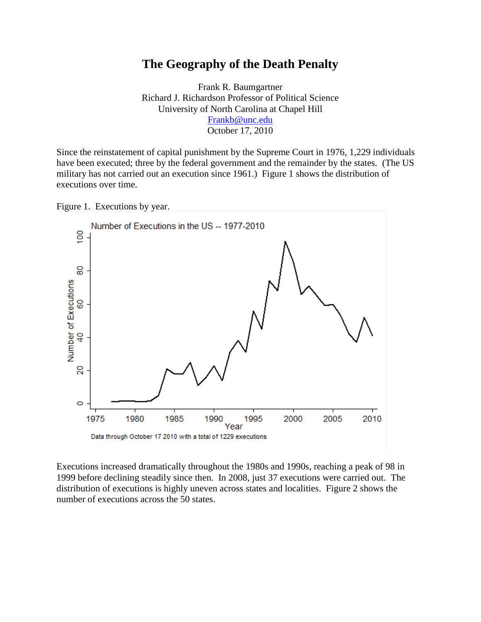## **The Geography of the Death Penalty**

Frank R. Baumgartner Richard J. Richardson Professor of Political Science University of North Carolina at Chapel Hill [Frankb@unc.edu](mailto:Frankb@unc.edu) October 17, 2010

Since the reinstatement of capital punishment by the Supreme Court in 1976, 1,229 individuals have been executed; three by the federal government and the remainder by the states. (The US military has not carried out an execution since 1961.) Figure 1 shows the distribution of executions over time.





Executions increased dramatically throughout the 1980s and 1990s, reaching a peak of 98 in 1999 before declining steadily since then. In 2008, just 37 executions were carried out. The distribution of executions is highly uneven across states and localities. Figure 2 shows the number of executions across the 50 states.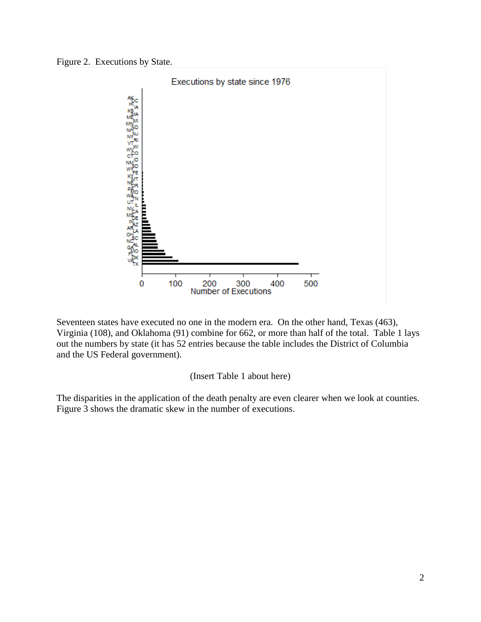Figure 2. Executions by State.



Seventeen states have executed no one in the modern era. On the other hand, Texas (463), Virginia (108), and Oklahoma (91) combine for 662, or more than half of the total. Table 1 lays out the numbers by state (it has 52 entries because the table includes the District of Columbia and the US Federal government).

## (Insert Table 1 about here)

The disparities in the application of the death penalty are even clearer when we look at counties. Figure 3 shows the dramatic skew in the number of executions.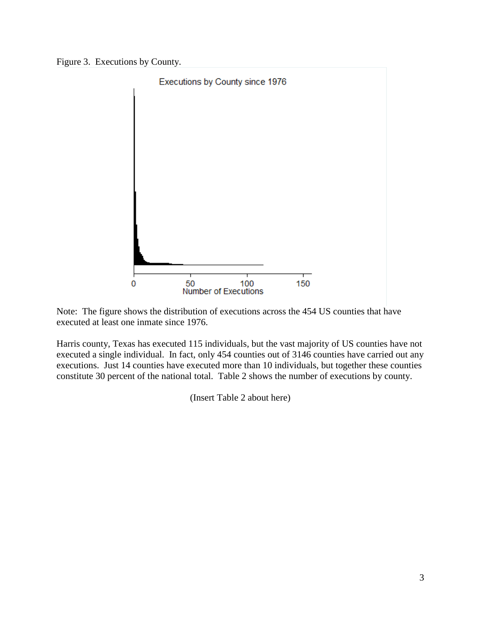Figure 3. Executions by County.





Harris county, Texas has executed 115 individuals, but the vast majority of US counties have not executed a single individual. In fact, only 454 counties out of 3146 counties have carried out any executions. Just 14 counties have executed more than 10 individuals, but together these counties constitute 30 percent of the national total. Table 2 shows the number of executions by county.

(Insert Table 2 about here)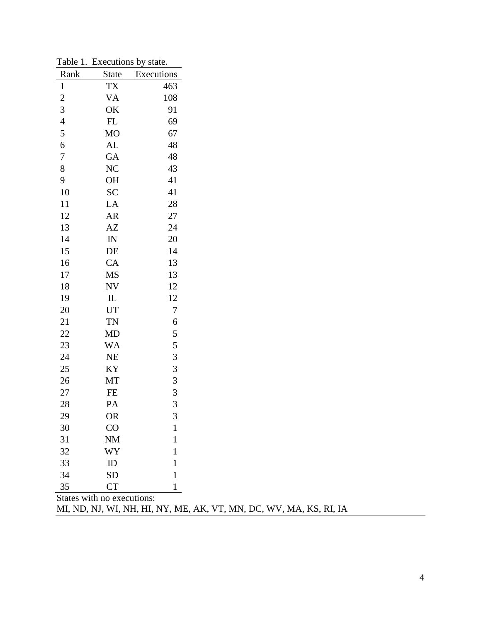| Rank                    | <b>State</b>   | Executions     |
|-------------------------|----------------|----------------|
| $\mathbf{1}$            | TX             | 463            |
| $\overline{\mathbf{c}}$ | VA             | 108            |
| 3                       | OK             | 91             |
| $\overline{4}$          | FL             | 69             |
| 5                       | M <sub>O</sub> | 67             |
| 6                       | AL             | 48             |
| $\overline{7}$          | GA             | 48             |
| 8                       | N <sub>C</sub> | 43             |
| 9                       | <b>OH</b>      | 41             |
| 10                      | SC             | 41             |
| 11                      | LA             | 28             |
| 12                      | <b>AR</b>      | 27             |
| 13                      | AZ             | 24             |
| 14                      | ${\rm IN}$     | 20             |
| 15                      | DE             | 14             |
| 16                      | CA             | 13             |
| 17                      | MS             | 13             |
| 18                      | <b>NV</b>      | 12             |
| 19                      | IL             | 12             |
| 20                      | UT             | $\overline{7}$ |
| 21                      | TN             | 6              |
| 22                      | MD             | 5              |
| 23                      | WA             | 5              |
| 24                      | <b>NE</b>      | 3              |
| 25                      | KY             | 3              |
| 26                      | MT             | 3              |
| 27                      | FE             | 3              |
| 28                      | PA             | 3              |
| 29                      | OR             | 3              |
| 30                      | CO             | $\mathbf{1}$   |
| 31                      | NM             | $\mathbf{1}$   |
| 32                      | WY             | $\mathbf{1}$   |
| 33                      | ID             | $\mathbf 1$    |
| 34                      | <b>SD</b>      | $\mathbf{1}$   |
| 35                      | <b>CT</b>      | $\mathbf 1$    |

Table 1. Executions by state.

States with no executions:

MI, ND, NJ, WI, NH, HI, NY, ME, AK, VT, MN, DC, WV, MA, KS, RI, IA